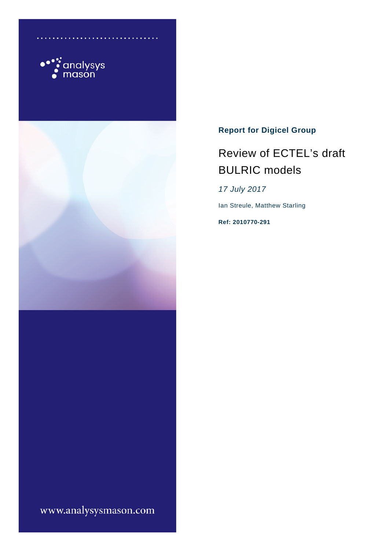



## **Report for Digicel Group**

# Review of ECTEL's draft BULRIC models

*17 July 2017*

Ian Streule, Matthew Starling

**Ref: 2010770-291**

www.analysysmason.com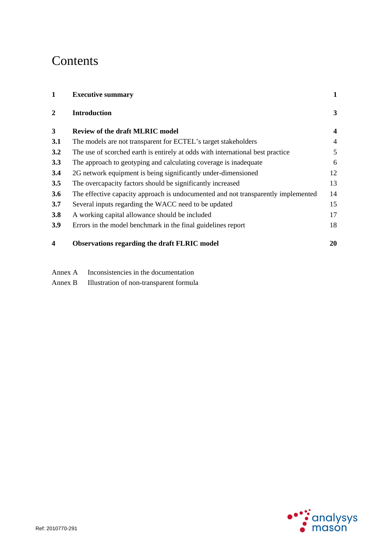# **Contents**

| 1                       | <b>Executive summary</b>                                                          | 1            |
|-------------------------|-----------------------------------------------------------------------------------|--------------|
| $\overline{2}$          | <b>Introduction</b>                                                               | $\mathbf{3}$ |
| $\mathbf{3}$            | <b>Review of the draft MLRIC model</b>                                            | 4            |
| 3.1                     | The models are not transparent for ECTEL's target stakeholders                    | 4            |
| 3.2                     | The use of scorched earth is entirely at odds with international best practice    | 5            |
| 3.3                     | The approach to geotyping and calculating coverage is inadequate                  | 6            |
| 3.4                     | 2G network equipment is being significantly under-dimensioned                     | 12           |
| 3.5                     | The overcapacity factors should be significantly increased                        | 13           |
| 3.6                     | The effective capacity approach is undocumented and not transparently implemented | 14           |
| 3.7                     | Several inputs regarding the WACC need to be updated                              | 15           |
| 3.8                     | A working capital allowance should be included                                    | 17           |
| <b>3.9</b>              | Errors in the model benchmark in the final guidelines report                      | 18           |
| $\overline{\mathbf{4}}$ | <b>Observations regarding the draft FLRIC model</b>                               | 20           |

Annex A Inconsistencies in the documentation

Annex B Illustration of non-transparent formula

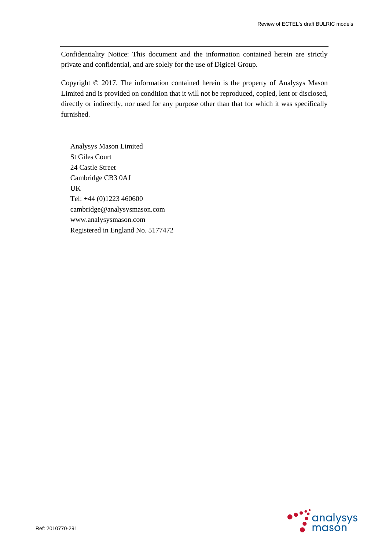Confidentiality Notice: This document and the information contained herein are strictly private and confidential, and are solely for the use of Digicel Group.

Copyright © 2017. The information contained herein is the property of Analysys Mason Limited and is provided on condition that it will not be reproduced, copied, lent or disclosed, directly or indirectly, nor used for any purpose other than that for which it was specifically furnished.

Analysys Mason Limited St Giles Court 24 Castle Street Cambridge CB3 0AJ UK Tel: +44 (0)1223 460600 cambridge@analysysmason.com www.analysysmason.com Registered in England No. 5177472

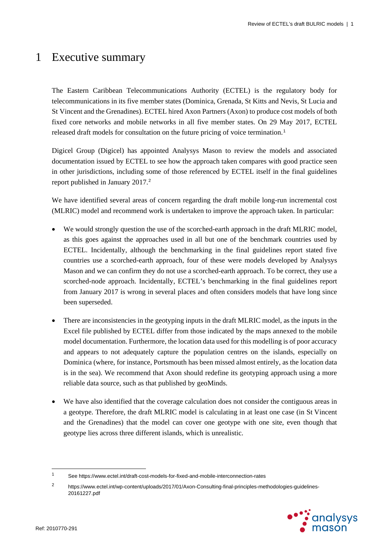## 1 Executive summary

The Eastern Caribbean Telecommunications Authority (ECTEL) is the regulatory body for telecommunications in its five member states (Dominica, Grenada, St Kitts and Nevis, St Lucia and St Vincent and the Grenadines). ECTEL hired Axon Partners (Axon) to produce cost models of both fixed core networks and mobile networks in all five member states. On 29 May 2017, ECTEL released draft models for consultation on the future pricing of voice termination. [1](#page-3-0)

Digicel Group (Digicel) has appointed Analysys Mason to review the models and associated documentation issued by ECTEL to see how the approach taken compares with good practice seen in other jurisdictions, including some of those referenced by ECTEL itself in the final guidelines report published in January [2](#page-3-1)017.<sup>2</sup>

We have identified several areas of concern regarding the draft mobile long-run incremental cost (MLRIC) model and recommend work is undertaken to improve the approach taken. In particular:

- We would strongly question the use of the scorched-earth approach in the draft MLRIC model, as this goes against the approaches used in all but one of the benchmark countries used by ECTEL. Incidentally, although the benchmarking in the final guidelines report stated five countries use a scorched-earth approach, four of these were models developed by Analysys Mason and we can confirm they do not use a scorched-earth approach. To be correct, they use a scorched-node approach. Incidentally, ECTEL's benchmarking in the final guidelines report from January 2017 is wrong in several places and often considers models that have long since been superseded.
- There are inconsistencies in the geotyping inputs in the draft MLRIC model, as the inputs in the Excel file published by ECTEL differ from those indicated by the maps annexed to the mobile model documentation. Furthermore, the location data used for this modelling is of poor accuracy and appears to not adequately capture the population centres on the islands, especially on Dominica (where, for instance, Portsmouth has been missed almost entirely, as the location data is in the sea). We recommend that Axon should redefine its geotyping approach using a more reliable data source, such as that published by geoMinds.
- We have also identified that the coverage calculation does not consider the contiguous areas in a geotype. Therefore, the draft MLRIC model is calculating in at least one case (in St Vincent and the Grenadines) that the model can cover one geotype with one site, even though that geotype lies across three different islands, which is unrealistic.

<span id="page-3-1"></span><sup>2</sup> https://www.ectel.int/wp-content/uploads/2017/01/Axon-Consulting-final-principles-methodologies-guidelines-20161227.pdf



<span id="page-3-0"></span> $\overline{1}$ <sup>1</sup> See https://www.ectel.int/draft-cost-models-for-fixed-and-mobile-interconnection-rates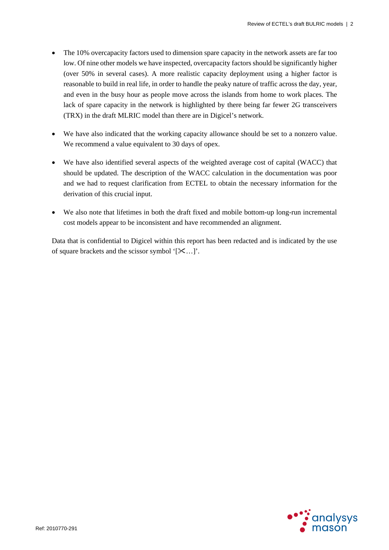- The 10% overcapacity factors used to dimension spare capacity in the network assets are far too low. Of nine other models we have inspected, overcapacity factors should be significantly higher (over 50% in several cases). A more realistic capacity deployment using a higher factor is reasonable to build in real life, in order to handle the peaky nature of traffic across the day, year, and even in the busy hour as people move across the islands from home to work places. The lack of spare capacity in the network is highlighted by there being far fewer 2G transceivers (TRX) in the draft MLRIC model than there are in Digicel's network.
- We have also indicated that the working capacity allowance should be set to a nonzero value. We recommend a value equivalent to 30 days of opex.
- We have also identified several aspects of the weighted average cost of capital (WACC) that should be updated. The description of the WACC calculation in the documentation was poor and we had to request clarification from ECTEL to obtain the necessary information for the derivation of this crucial input.
- We also note that lifetimes in both the draft fixed and mobile bottom-up long-run incremental cost models appear to be inconsistent and have recommended an alignment.

Data that is confidential to Digicel within this report has been redacted and is indicated by the use of square brackets and the scissor symbol  $[\mathcal{K}...]$ .

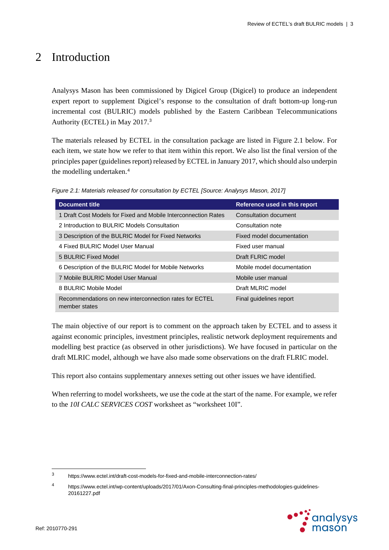## 2 Introduction

Analysys Mason has been commissioned by Digicel Group (Digicel) to produce an independent expert report to supplement Digicel's response to the consultation of draft bottom-up long-run incremental cost (BULRIC) models published by the Eastern Caribbean Telecommunications Authority (ECTEL) in May 2017. [3](#page-5-1)

The materials released by ECTEL in the consultation package are listed in [Figure 2.1](#page-5-0) below. For each item, we state how we refer to that item within this report. We also list the final version of the principles paper (guidelines report) released by ECTEL in January 2017, which should also underpin the modelling undertaken.<sup>[4](#page-5-2)</sup>

<span id="page-5-0"></span>*Figure 2.1: Materials released for consultation by ECTEL [Source: Analysys Mason, 2017]*

| <b>Document title</b>                                                   | Reference used in this report |
|-------------------------------------------------------------------------|-------------------------------|
| 1 Draft Cost Models for Fixed and Mobile Interconnection Rates          | Consultation document         |
| 2 Introduction to BULRIC Models Consultation                            | Consultation note             |
| 3 Description of the BULRIC Model for Fixed Networks                    | Fixed model documentation     |
| 4 Fixed BULRIC Model User Manual                                        | Fixed user manual             |
| 5 BULRIC Fixed Model                                                    | Draft FLRIC model             |
| 6 Description of the BULRIC Model for Mobile Networks                   | Mobile model documentation    |
| 7 Mobile BULRIC Model User Manual                                       | Mobile user manual            |
| 8 BULRIC Mobile Model                                                   | Draft MLRIC model             |
| Recommendations on new interconnection rates for ECTEL<br>member states | Final quidelines report       |

The main objective of our report is to comment on the approach taken by ECTEL and to assess it against economic principles, investment principles, realistic network deployment requirements and modelling best practice (as observed in other jurisdictions). We have focused in particular on the draft MLRIC model, although we have also made some observations on the draft FLRIC model.

This report also contains supplementary annexes setting out other issues we have identified.

When referring to model worksheets, we use the code at the start of the name. For example, we refer to the *10I CALC SERVICES COST* worksheet as "worksheet 10I".

<span id="page-5-2"></span><sup>4</sup> https://www.ectel.int/wp-content/uploads/2017/01/Axon-Consulting-final-principles-methodologies-guidelines-20161227.pdf



<span id="page-5-1"></span> $\mathbf{3}$ <sup>3</sup> https://www.ectel.int/draft-cost-models-for-fixed-and-mobile-interconnection-rates/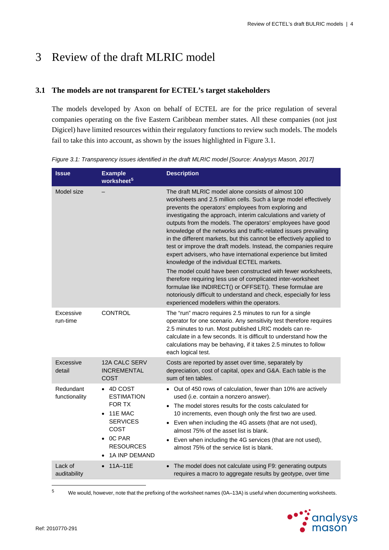# 3 Review of the draft MLRIC model

## **3.1 The models are not transparent for ECTEL's target stakeholders**

The models developed by Axon on behalf of ECTEL are for the price regulation of several companies operating on the five Eastern Caribbean member states. All these companies (not just Digicel) have limited resources within their regulatory functions to review such models. The models fail to take this into account, as shown by the issues highlighted in [Figure 3.1.](#page-6-0)

| <b>Issue</b>               | <b>Example</b><br>worksheet <sup>5</sup>                                                                                                                            | <b>Description</b>                                                                                                                                                                                                                                                                                                                                                                                                                                                                                                                                                                                                                                                                                                                                                                                                                                                                                                                                             |
|----------------------------|---------------------------------------------------------------------------------------------------------------------------------------------------------------------|----------------------------------------------------------------------------------------------------------------------------------------------------------------------------------------------------------------------------------------------------------------------------------------------------------------------------------------------------------------------------------------------------------------------------------------------------------------------------------------------------------------------------------------------------------------------------------------------------------------------------------------------------------------------------------------------------------------------------------------------------------------------------------------------------------------------------------------------------------------------------------------------------------------------------------------------------------------|
| Model size                 |                                                                                                                                                                     | The draft MLRIC model alone consists of almost 100<br>worksheets and 2.5 million cells. Such a large model effectively<br>prevents the operators' employees from exploring and<br>investigating the approach, interim calculations and variety of<br>outputs from the models. The operators' employees have good<br>knowledge of the networks and traffic-related issues prevailing<br>in the different markets, but this cannot be effectively applied to<br>test or improve the draft models. Instead, the companies require<br>expert advisers, who have international experience but limited<br>knowledge of the individual ECTEL markets.<br>The model could have been constructed with fewer worksheets,<br>therefore requiring less use of complicated inter-worksheet<br>formulae like INDIRECT() or OFFSET(). These formulae are<br>notoriously difficult to understand and check, especially for less<br>experienced modellers within the operators. |
| Excessive<br>run-time      | <b>CONTROL</b>                                                                                                                                                      | The "run" macro requires 2.5 minutes to run for a single<br>operator for one scenario. Any sensitivity test therefore requires<br>2.5 minutes to run. Most published LRIC models can re-<br>calculate in a few seconds. It is difficult to understand how the<br>calculations may be behaving, if it takes 2.5 minutes to follow<br>each logical test.                                                                                                                                                                                                                                                                                                                                                                                                                                                                                                                                                                                                         |
| Excessive<br>detail        | <b>12A CALC SERV</b><br><b>INCREMENTAL</b><br>COST                                                                                                                  | Costs are reported by asset over time, separately by<br>depreciation, cost of capital, opex and G&A. Each table is the<br>sum of ten tables.                                                                                                                                                                                                                                                                                                                                                                                                                                                                                                                                                                                                                                                                                                                                                                                                                   |
| Redundant<br>functionality | $\bullet$ 4D COST<br><b>ESTIMATION</b><br>FOR TX<br>11E MAC<br>$\bullet$<br><b>SERVICES</b><br><b>COST</b><br>$\bullet$ OC PAR<br><b>RESOURCES</b><br>1A INP DEMAND | Out of 450 rows of calculation, fewer than 10% are actively<br>$\bullet$<br>used (i.e. contain a nonzero answer).<br>• The model stores results for the costs calculated for<br>10 increments, even though only the first two are used.<br>Even when including the 4G assets (that are not used),<br>almost 75% of the asset list is blank.<br>Even when including the 4G services (that are not used),<br>almost 75% of the service list is blank.                                                                                                                                                                                                                                                                                                                                                                                                                                                                                                            |
| Lack of<br>auditability    | 11A-11E                                                                                                                                                             | The model does not calculate using F9: generating outputs<br>requires a macro to aggregate results by geotype, over time                                                                                                                                                                                                                                                                                                                                                                                                                                                                                                                                                                                                                                                                                                                                                                                                                                       |

<span id="page-6-0"></span>*Figure 3.1: Transparency issues identified in the draft MLRIC model [Source: Analysys Mason, 2017]*

<span id="page-6-1"></span> $\overline{5}$ <sup>5</sup> We would, however, note that the prefixing of the worksheet names (0A–13A) is useful when documenting worksheets.

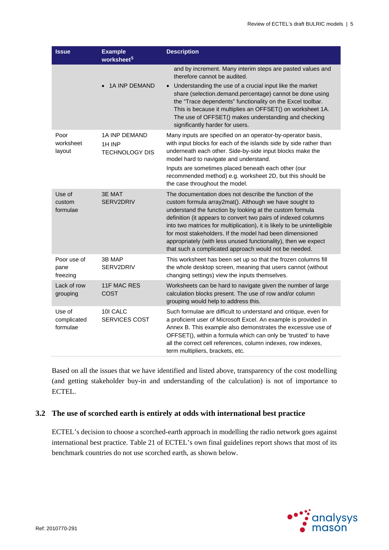| <b>Issue</b>                      | <b>Example</b><br>worksheet <sup>5</sup>                | <b>Description</b>                                                                                                                                                                                                                                                                                                                                                                                                                                                                                                 |
|-----------------------------------|---------------------------------------------------------|--------------------------------------------------------------------------------------------------------------------------------------------------------------------------------------------------------------------------------------------------------------------------------------------------------------------------------------------------------------------------------------------------------------------------------------------------------------------------------------------------------------------|
|                                   |                                                         | and by increment. Many interim steps are pasted values and<br>therefore cannot be audited.                                                                                                                                                                                                                                                                                                                                                                                                                         |
|                                   | <b>1A INP DEMAND</b>                                    | Understanding the use of a crucial input like the market<br>$\bullet$<br>share (selection.demand.percentage) cannot be done using<br>the "Trace dependents" functionality on the Excel toolbar.<br>This is because it multiplies an OFFSET() on worksheet 1A.<br>The use of OFFSET() makes understanding and checking<br>significantly harder for users.                                                                                                                                                           |
| Poor<br>worksheet<br>layout       | <b>1A INP DEMAND</b><br>1H INP<br><b>TECHNOLOGY DIS</b> | Many inputs are specified on an operator-by-operator basis,<br>with input blocks for each of the islands side by side rather than<br>underneath each other. Side-by-side input blocks make the<br>model hard to navigate and understand.                                                                                                                                                                                                                                                                           |
|                                   |                                                         | Inputs are sometimes placed beneath each other (our<br>recommended method) e.g. worksheet 2D, but this should be<br>the case throughout the model.                                                                                                                                                                                                                                                                                                                                                                 |
| Use of<br>custom<br>formulae      | 3E MAT<br>SERV2DRIV                                     | The documentation does not describe the function of the<br>custom formula array2mat(). Although we have sought to<br>understand the function by looking at the custom formula<br>definition (it appears to convert two pairs of indexed columns<br>into two matrices for multiplication), it is likely to be unintelligible<br>for most stakeholders. If the model had been dimensioned<br>appropriately (with less unused functionality), then we expect<br>that such a complicated approach would not be needed. |
| Poor use of<br>pane<br>freezing   | 3B MAP<br>SERV2DRIV                                     | This worksheet has been set up so that the frozen columns fill<br>the whole desktop screen, meaning that users cannot (without<br>changing settings) view the inputs themselves.                                                                                                                                                                                                                                                                                                                                   |
| Lack of row<br>grouping           | 11F MAC RES<br>COST                                     | Worksheets can be hard to navigate given the number of large<br>calculation blocks present. The use of row and/or column<br>grouping would help to address this.                                                                                                                                                                                                                                                                                                                                                   |
| Use of<br>complicated<br>formulae | 10I CALC<br><b>SERVICES COST</b>                        | Such formulae are difficult to understand and critique, even for<br>a proficient user of Microsoft Excel. An example is provided in<br>Annex B. This example also demonstrates the excessive use of<br>OFFSET(), within a formula which can only be 'trusted' to have<br>all the correct cell references, column indexes, row indexes,<br>term multipliers, brackets, etc.                                                                                                                                         |

Based on all the issues that we have identified and listed above, transparency of the cost modelling (and getting stakeholder buy-in and understanding of the calculation) is not of importance to ECTEL.

## <span id="page-7-0"></span>**3.2 The use of scorched earth is entirely at odds with international best practice**

ECTEL's decision to choose a scorched-earth approach in modelling the radio network goes against international best practice. Table 21 of ECTEL's own final guidelines report shows that most of its benchmark countries do not use scorched earth, as shown below.

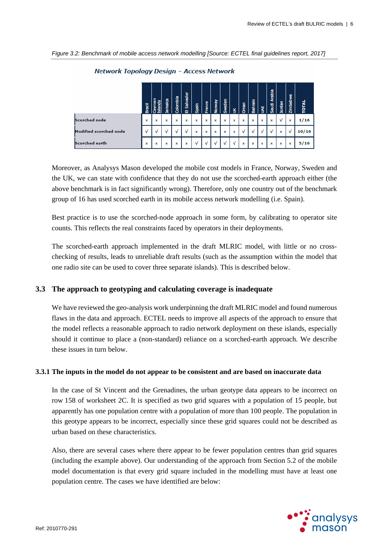| Figure 3.2: Benchmark of mobile access network modelling [Source: ECTEL final guidelines report, 2017] |  |
|--------------------------------------------------------------------------------------------------------|--|
|                                                                                                        |  |

|                        | <b>Brazil</b> | å | Jamaica | Colombia | Salvador<br>面 | Spain       | France | Norway      | Sweden      | š | Oman | Bahrain | š | Saudi Arabia | Jordan | Zimbabwe | <b>TOTAL</b> |
|------------------------|---------------|---|---------|----------|---------------|-------------|--------|-------------|-------------|---|------|---------|---|--------------|--------|----------|--------------|
| Scorched node          | ×             | x | x       | x        | ×             | ×           | ×      | ×           | $\mathbf x$ | x | x    | ×       | x | x            | V      | ×        | 1/16         |
| Modified scorched node | v             |   | ν       |          | v             | $\mathbf x$ | x      | $\mathbf x$ | $\mathbf x$ | x | v    |         |   | v            | ×      | v        | 10/16        |
| <b>Scorched earth</b>  | ×             | x | x       | x        | x             | v           | v      |             | v           | v | x    | ×       | x | $\mathbf x$  | ×      | x        | 5/16         |

Network Topology Design - Access Network

Moreover, as Analysys Mason developed the mobile cost models in France, Norway, Sweden and the UK, we can state with confidence that they do not use the scorched-earth approach either (the above benchmark is in fact significantly wrong). Therefore, only one country out of the benchmark group of 16 has used scorched earth in its mobile access network modelling (i.e. Spain).

Best practice is to use the scorched-node approach in some form, by calibrating to operator site counts. This reflects the real constraints faced by operators in their deployments.

The scorched-earth approach implemented in the draft MLRIC model, with little or no crosschecking of results, leads to unreliable draft results (such as the assumption within the model that one radio site can be used to cover three separate islands). This is described below.

## **3.3 The approach to geotyping and calculating coverage is inadequate**

We have reviewed the geo-analysis work underpinning the draft MLRIC model and found numerous flaws in the data and approach. ECTEL needs to improve all aspects of the approach to ensure that the model reflects a reasonable approach to radio network deployment on these islands, especially should it continue to place a (non-standard) reliance on a scorched-earth approach. We describe these issues in turn below.

## **3.3.1 The inputs in the model do not appear to be consistent and are based on inaccurate data**

In the case of St Vincent and the Grenadines, the urban geotype data appears to be incorrect on row 158 of worksheet 2C. It is specified as two grid squares with a population of 15 people, but apparently has one population centre with a population of more than 100 people. The population in this geotype appears to be incorrect, especially since these grid squares could not be described as urban based on these characteristics.

Also, there are several cases where there appear to be fewer population centres than grid squares (including the example above). Our understanding of the approach from Section 5.2 of the mobile model documentation is that every grid square included in the modelling must have at least one population centre. The cases we have identified are below:

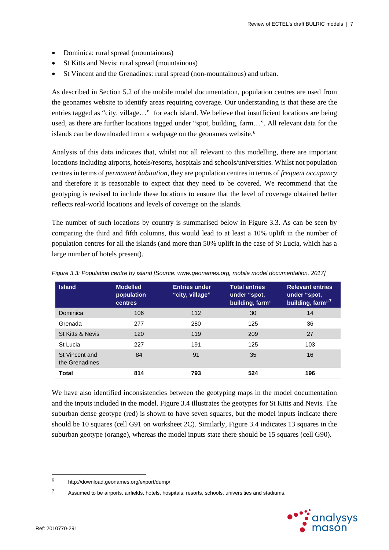- Dominica: rural spread (mountainous)
- St Kitts and Nevis: rural spread (mountainous)
- St Vincent and the Grenadines: rural spread (non-mountainous) and urban.

As described in Section 5.2 of the mobile model documentation, population centres are used from the geonames website to identify areas requiring coverage. Our understanding is that these are the entries tagged as "city, village…" for each island. We believe that insufficient locations are being used, as there are further locations tagged under "spot, building, farm…". All relevant data for the islands can be downloaded from a webpage on the geonames website.<sup>[6](#page-9-1)</sup>

Analysis of this data indicates that, whilst not all relevant to this modelling, there are important locations including airports, hotels/resorts, hospitals and schools/universities. Whilst not population centres in terms of *permanent habitation*, they are population centres in terms of *frequent occupancy* and therefore it is reasonable to expect that they need to be covered. We recommend that the geotyping is revised to include these locations to ensure that the level of coverage obtained better reflects real-world locations and levels of coverage on the islands.

The number of such locations by country is summarised below in [Figure 3.3.](#page-9-0) As can be seen by comparing the third and fifth columns, this would lead to at least a 10% uplift in the number of population centres for all the islands (and more than 50% uplift in the case of St Lucia, which has a large number of hotels present).

| <b>Island</b>                    | <b>Modelled</b><br>population<br><b>centres</b> | <b>Entries under</b><br>"city, village" | <b>Total entries</b><br>under "spot,<br>building, farm" | <b>Relevant entries</b><br>under "spot,<br>building, farm"7 |
|----------------------------------|-------------------------------------------------|-----------------------------------------|---------------------------------------------------------|-------------------------------------------------------------|
| Dominica                         | 106                                             | 112                                     | 30                                                      | 14                                                          |
| Grenada                          | 277                                             | 280                                     | 125                                                     | 36                                                          |
| St Kitts & Nevis                 | 120                                             | 119                                     | 209                                                     | 27                                                          |
| St Lucia                         | 227                                             | 191                                     | 125                                                     | 103                                                         |
| St Vincent and<br>the Grenadines | 84                                              | 91                                      | 35                                                      | 16                                                          |
| <b>Total</b>                     | 814                                             | 793                                     | 524                                                     | 196                                                         |

<span id="page-9-0"></span>*Figure 3.3: Population centre by island [Source: [www.geonames.org,](http://www.geonames.org/) mobile model documentation, 2017]*

We have also identified inconsistencies between the geotyping maps in the model documentation and the inputs included in the model. [Figure 3.4](#page-10-0) illustrates the geotypes for St Kitts and Nevis. The suburban dense geotype (red) is shown to have seven squares, but the model inputs indicate there should be 10 squares (cell G91 on worksheet 2C). Similarly, [Figure 3.4](#page-10-0) indicates 13 squares in the suburban geotype (orange), whereas the model inputs state there should be 15 squares (cell G90).

<span id="page-9-2"></span><sup>&</sup>lt;sup>7</sup> Assumed to be airports, airfields, hotels, hospitals, resorts, schools, universities and stadiums.



 $\overline{a}$ 

<span id="page-9-1"></span><sup>6</sup> http://download.geonames.org/export/dump/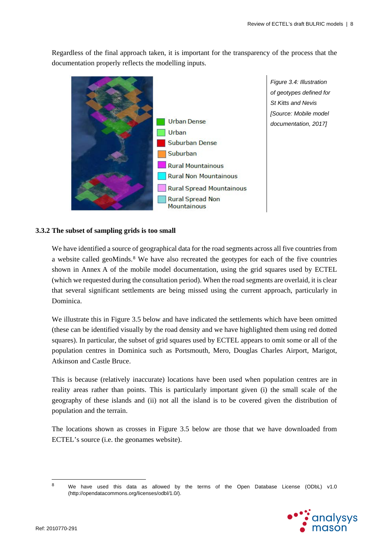Regardless of the final approach taken, it is important for the transparency of the process that the documentation properly reflects the modelling inputs.



<span id="page-10-0"></span>*Figure 3.4: Illustration of geotypes defined for St Kitts and Nevis [Source: Mobile model documentation, 2017]*

## **3.3.2 The subset of sampling grids is too small**

We have identified a source of geographical data for the road segments across all five countries from a website called geoMinds.<sup>[8](#page-10-1)</sup> We have also recreated the geotypes for each of the five countries shown in Annex A of the mobile model documentation, using the grid squares used by ECTEL (which we requested during the consultation period). When the road segments are overlaid, it is clear that several significant settlements are being missed using the current approach, particularly in Dominica.

We illustrate this in [Figure 3.5](#page-11-0) below and have indicated the settlements which have been omitted (these can be identified visually by the road density and we have highlighted them using red dotted squares). In particular, the subset of grid squares used by ECTEL appears to omit some or all of the population centres in Dominica such as Portsmouth, Mero, Douglas Charles Airport, Marigot, Atkinson and Castle Bruce.

This is because (relatively inaccurate) locations have been used when population centres are in reality areas rather than points. This is particularly important given (i) the small scale of the geography of these islands and (ii) not all the island is to be covered given the distribution of population and the terrain.

The locations shown as crosses in [Figure 3.5](#page-11-0) below are those that we have downloaded from ECTEL's source (i.e. the geonames website).

<span id="page-10-1"></span> $\mathbf{a}$ We have used this data as allowed by the terms of the Open Database License (ODbL) v1.0 (http://opendatacommons.org/licenses/odbl/1.0/).

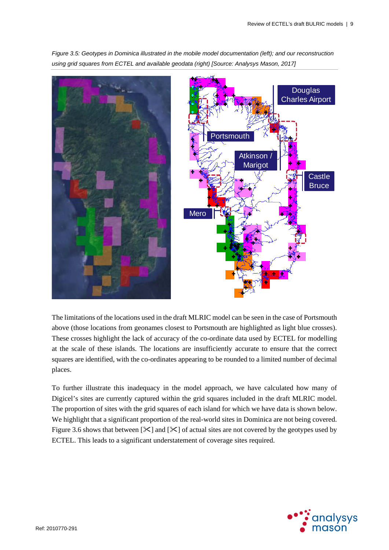

<span id="page-11-0"></span>*Figure 3.5: Geotypes in Dominica illustrated in the mobile model documentation (left); and our reconstruction using grid squares from ECTEL and available geodata (right) [Source: Analysys Mason, 2017]*

The limitations of the locations used in the draft MLRIC model can be seen in the case of Portsmouth above (those locations from geonames closest to Portsmouth are highlighted as light blue crosses). These crosses highlight the lack of accuracy of the co-ordinate data used by ECTEL for modelling at the scale of these islands. The locations are insufficiently accurate to ensure that the correct squares are identified, with the co-ordinates appearing to be rounded to a limited number of decimal places.

To further illustrate this inadequacy in the model approach, we have calculated how many of Digicel's sites are currently captured within the grid squares included in the draft MLRIC model. The proportion of sites with the grid squares of each island for which we have data is shown below. We highlight that a significant proportion of the real-world sites in Dominica are not being covered. [Figure 3.6](#page-12-0) shows that between  $[\mathcal{K}]$  and  $[\mathcal{K}]$  of actual sites are not covered by the geotypes used by ECTEL. This leads to a significant understatement of coverage sites required.

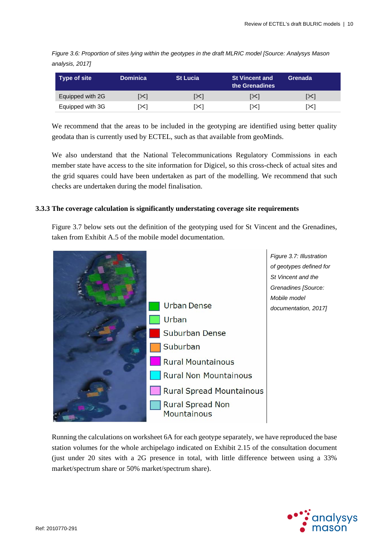<span id="page-12-0"></span>*Figure 3.6: Proportion of sites lying within the geotypes in the draft MLRIC model [Source: Analysys Mason analysis, 2017]*

| Type of site     | <b>Dominica</b> | <b>St Lucia</b> | <b>St Vincent and</b><br>the Grenadines | Grenada      |
|------------------|-----------------|-----------------|-----------------------------------------|--------------|
| Equipped with 2G | [≻]             | [X]             | [≻]                                     | $\mathbb{R}$ |
| Equipped with 3G | ו≫ا             | [X]             | ו≫ا                                     | [X]          |

We recommend that the areas to be included in the geotyping are identified using better quality geodata than is currently used by ECTEL, such as that available from geoMinds.

We also understand that the National Telecommunications Regulatory Commissions in each member state have access to the site information for Digicel, so this cross-check of actual sites and the grid squares could have been undertaken as part of the modelling. We recommend that such checks are undertaken during the model finalisation.

#### **3.3.3 The coverage calculation is significantly understating coverage site requirements**

<span id="page-12-1"></span>[Figure 3.7](#page-12-1) below sets out the definition of the geotyping used for St Vincent and the Grenadines, taken from Exhibit A.5 of the mobile model documentation.



Running the calculations on worksheet 6A for each geotype separately, we have reproduced the base station volumes for the whole archipelago indicated on Exhibit 2.15 of the consultation document (just under 20 sites with a 2G presence in total, with little difference between using a 33% market/spectrum share or 50% market/spectrum share).

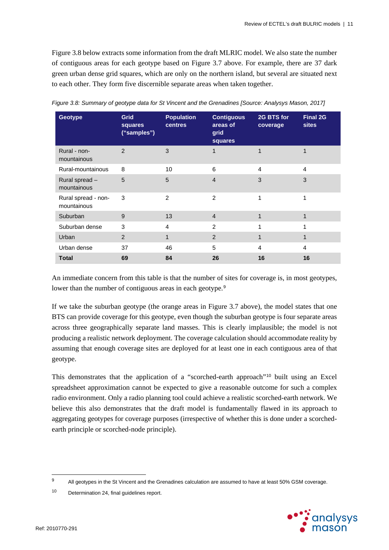[Figure 3.8](#page-13-0) below extracts some information from the draft MLRIC model. We also state the number of contiguous areas for each geotype based on [Figure 3.7](#page-12-1) above. For example, there are 37 dark green urban dense grid squares, which are only on the northern island, but several are situated next to each other. They form five discernible separate areas when taken together.

| <b>Geotype</b>                     | Grid<br>squares<br>("samples") | <b>Population</b><br><b>centres</b> | <b>Contiguous</b><br>areas of<br>grid<br>squares | 2G BTS for<br>coverage | <b>Final 2G</b><br><b>sites</b> |
|------------------------------------|--------------------------------|-------------------------------------|--------------------------------------------------|------------------------|---------------------------------|
| Rural - non-<br>mountainous        | $\overline{2}$                 | 3                                   | $\overline{1}$                                   | 1                      |                                 |
| Rural-mountainous                  | 8                              | 10                                  | 6                                                | $\overline{4}$         | $\overline{4}$                  |
| Rural spread-<br>mountainous       | 5                              | 5                                   | $\overline{4}$                                   | 3                      | 3                               |
| Rural spread - non-<br>mountainous | 3                              | 2                                   | 2                                                | 1                      | 1                               |
| Suburban                           | 9                              | 13                                  | $\overline{4}$                                   | 1                      | 1                               |
| Suburban dense                     | 3                              | $\overline{4}$                      | $\overline{2}$                                   | 1                      | 1                               |
| Urban                              | 2                              | 1                                   | 2                                                | 1                      | $\mathbf 1$                     |
| Urban dense                        | 37                             | 46                                  | 5                                                | 4                      | 4                               |
| <b>Total</b>                       | 69                             | 84                                  | 26                                               | 16                     | 16                              |

<span id="page-13-0"></span>*Figure 3.8: Summary of geotype data for St Vincent and the Grenadines [Source: Analysys Mason, 2017]*

An immediate concern from this table is that the number of sites for coverage is, in most geotypes, lower than the number of contiguous areas in each geotype.<sup>[9](#page-13-1)</sup>

If we take the suburban geotype (the orange areas in [Figure 3.7](#page-12-1) above), the model states that one BTS can provide coverage for this geotype, even though the suburban geotype is four separate areas across three geographically separate land masses. This is clearly implausible; the model is not producing a realistic network deployment. The coverage calculation should accommodate reality by assuming that enough coverage sites are deployed for at least one in each contiguous area of that geotype.

This demonstrates that the application of a "scorched-earth approach"<sup>[10](#page-13-2)</sup> built using an Excel spreadsheet approximation cannot be expected to give a reasonable outcome for such a complex radio environment. Only a radio planning tool could achieve a realistic scorched-earth network. We believe this also demonstrates that the draft model is fundamentally flawed in its approach to aggregating geotypes for coverage purposes (irrespective of whether this is done under a scorchedearth principle or scorched-node principle).



 $\overline{a}$ 

<span id="page-13-1"></span><sup>&</sup>lt;sup>9</sup> All geotypes in the St Vincent and the Grenadines calculation are assumed to have at least 50% GSM coverage.

<span id="page-13-2"></span><sup>10</sup> Determination 24, final guidelines report.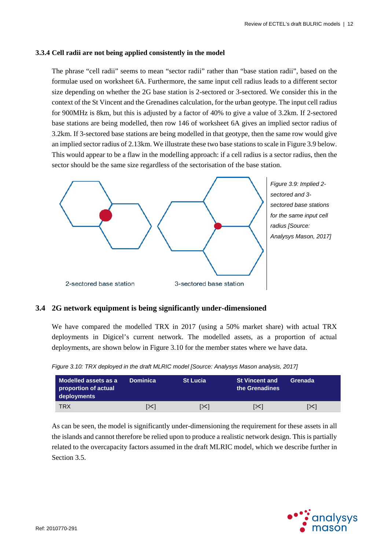## **3.3.4 Cell radii are not being applied consistently in the model**

The phrase "cell radii" seems to mean "sector radii" rather than "base station radii", based on the formulae used on worksheet 6A. Furthermore, the same input cell radius leads to a different sector size depending on whether the 2G base station is 2-sectored or 3-sectored. We consider this in the context of the St Vincent and the Grenadines calculation, for the urban geotype. The input cell radius for 900MHz is 8km, but this is adjusted by a factor of 40% to give a value of 3.2km. If 2-sectored base stations are being modelled, then row 146 of worksheet 6A gives an implied sector radius of 3.2km. If 3-sectored base stations are being modelled in that geotype, then the same row would give an implied sector radius of 2.13km. We illustrate these two base stations to scale i[n Figure 3.9](#page-14-0) below. This would appear to be a flaw in the modelling approach: if a cell radius is a sector radius, then the sector should be the same size regardless of the sectorisation of the base station.

<span id="page-14-0"></span>

## **3.4 2G network equipment is being significantly under-dimensioned**

We have compared the modelled TRX in 2017 (using a 50% market share) with actual TRX deployments in Digicel's current network. The modelled assets, as a proportion of actual deployments, are shown below in [Figure 3.10](#page-14-1) for the member states where we have data.

| Modelled assets as a<br>proportion of actual<br>deployments | <b>Dominica</b> | <b>St Lucia</b> | <b>St Vincent and</b><br>the Grenadines | Grenada |
|-------------------------------------------------------------|-----------------|-----------------|-----------------------------------------|---------|
| <b>TRX</b>                                                  |                 | [⊱              | [⊱                                      | ו≫ו     |

<span id="page-14-1"></span>

As can be seen, the model is significantly under-dimensioning the requirement for these assets in all the islands and cannot therefore be relied upon to produce a realistic network design. This is partially related to the overcapacity factors assumed in the draft MLRIC model, which we describe further in Section [3.5.](#page-15-0)

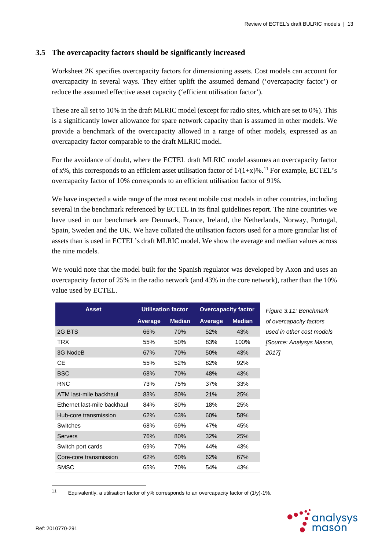## <span id="page-15-0"></span>**3.5 The overcapacity factors should be significantly increased**

Worksheet 2K specifies overcapacity factors for dimensioning assets. Cost models can account for overcapacity in several ways. They either uplift the assumed demand ('overcapacity factor') or reduce the assumed effective asset capacity ('efficient utilisation factor').

These are all set to 10% in the draft MLRIC model (except for radio sites, which are set to 0%). This is a significantly lower allowance for spare network capacity than is assumed in other models. We provide a benchmark of the overcapacity allowed in a range of other models, expressed as an overcapacity factor comparable to the draft MLRIC model.

For the avoidance of doubt, where the ECTEL draft MLRIC model assumes an overcapacity factor of x%, this corresponds to an efficient asset utilisation factor of  $1/(1+x)$ %.<sup>[11](#page-15-1)</sup> For example, ECTEL's overcapacity factor of 10% corresponds to an efficient utilisation factor of 91%.

We have inspected a wide range of the most recent mobile cost models in other countries, including several in the benchmark referenced by ECTEL in its final guidelines report. The nine countries we have used in our benchmark are Denmark, France, Ireland, the Netherlands, Norway, Portugal, Spain, Sweden and the UK. We have collated the utilisation factors used for a more granular list of assets than is used in ECTEL's draft MLRIC model. We show the average and median values across the nine models.

We would note that the model built for the Spanish regulator was developed by Axon and uses an overcapacity factor of 25% in the radio network (and 43% in the core network), rather than the 10% value used by ECTEL.

| <b>Asset</b>                | <b>Utilisation factor</b> |               | <b>Overcapacity factor</b> |               |
|-----------------------------|---------------------------|---------------|----------------------------|---------------|
|                             | Average                   | <b>Median</b> | Average                    | <b>Median</b> |
| 2G BTS                      | 66%                       | 70%           | 52%                        | 43%           |
| TRX                         | 55%                       | 50%           | 83%                        | 100%          |
| 3G NodeB                    | 67%                       | 70%           | 50%                        | 43%           |
| СE                          | 55%                       | 52%           | 82%                        | 92%           |
| <b>BSC</b>                  | 68%                       | 70%           | 48%                        | 43%           |
| <b>RNC</b>                  | 73%                       | 75%           | 37%                        | 33%           |
| ATM last-mile backhaul      | 83%                       | 80%           | 21%                        | 25%           |
| Ethernet last-mile backhaul | 84%                       | 80%           | 18%                        | 25%           |
| Hub-core transmission       | 62%                       | 63%           | 60%                        | 58%           |
| <b>Switches</b>             | 68%                       | 69%           | 47%                        | 45%           |
| <b>Servers</b>              | 76%                       | 80%           | 32%                        | 25%           |
| Switch port cards           | 69%                       | 70%           | 44%                        | 43%           |
| Core-core transmission      | 62%                       | 60%           | 62%                        | 67%           |
| SMSC                        | 65%                       | 70%           | 54%                        | 43%           |

**Asset Utilisation factor Overcapacity factor** *Figure 3.11: Benchmark of overcapacity factors used in other cost models [Source: Analysys Mason, 2017]*

<span id="page-15-1"></span> $11$ Equivalently, a utilisation factor of y% corresponds to an overcapacity factor of (1/y)-1%.

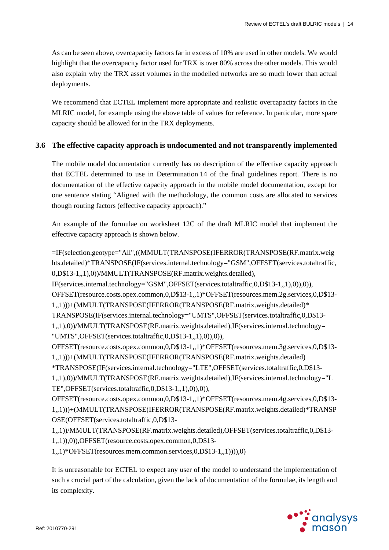As can be seen above, overcapacity factors far in excess of 10% are used in other models. We would highlight that the overcapacity factor used for TRX is over 80% across the other models. This would also explain why the TRX asset volumes in the modelled networks are so much lower than actual deployments.

We recommend that ECTEL implement more appropriate and realistic overcapacity factors in the MLRIC model, for example using the above table of values for reference. In particular, more spare capacity should be allowed for in the TRX deployments.

## **3.6 The effective capacity approach is undocumented and not transparently implemented**

The mobile model documentation currently has no description of the effective capacity approach that ECTEL determined to use in Determination 14 of the final guidelines report. There is no documentation of the effective capacity approach in the mobile model documentation, except for one sentence stating "Aligned with the methodology, the common costs are allocated to services though routing factors (effective capacity approach)."

An example of the formulae on worksheet 12C of the draft MLRIC model that implement the effective capacity approach is shown below.

=IF(selection.geotype="All",((MMULT(TRANSPOSE(IFERROR(TRANSPOSE(RF.matrix.weig hts.detailed)\*TRANSPOSE(IF(services.internal.technology="GSM",OFFSET(services.totaltraffic, 0,D\$13-1,,1),0))/MMULT(TRANSPOSE(RF.matrix.weights.detailed), IF(services.internal.technology="GSM",OFFSET(services.totaltraffic,0,D\$13-1,,1),0)),0)), OFFSET(resource.costs.opex.common,0,D\$13-1,,1)\*OFFSET(resources.mem.2g.services,0,D\$13- 1,,1)))+(MMULT(TRANSPOSE(IFERROR(TRANSPOSE(RF.matrix.weights.detailed)\* TRANSPOSE(IF(services.internal.technology="UMTS",OFFSET(services.totaltraffic,0,D\$13- 1,,1),0))/MMULT(TRANSPOSE(RF.matrix.weights.detailed),IF(services.internal.technology= "UMTS",OFFSET(services.totaltraffic,0,D\$13-1,,1),0)),0)), OFFSET(resource.costs.opex.common,0,D\$13-1,,1)\*OFFSET(resources.mem.3g.services,0,D\$13- 1,,1)))+(MMULT(TRANSPOSE(IFERROR(TRANSPOSE(RF.matrix.weights.detailed) \*TRANSPOSE(IF(services.internal.technology="LTE",OFFSET(services.totaltraffic,0,D\$13- 1,,1),0))/MMULT(TRANSPOSE(RF.matrix.weights.detailed),IF(services.internal.technology="L TE",OFFSET(services.totaltraffic,0,D\$13-1,,1),0)),0)), OFFSET(resource.costs.opex.common,0,D\$13-1,,1)\*OFFSET(resources.mem.4g.services,0,D\$13- 1,,1)))+(MMULT(TRANSPOSE(IFERROR(TRANSPOSE(RF.matrix.weights.detailed)\*TRANSP OSE(OFFSET(services.totaltraffic,0,D\$13- 1,,1))/MMULT(TRANSPOSE(RF.matrix.weights.detailed),OFFSET(services.totaltraffic,0,D\$13- 1,,1)),0)),OFFSET(resource.costs.opex.common,0,D\$13-

1,,1)\*OFFSET(resources.mem.common.services,0,D\$13-1,,1)))),0)

It is unreasonable for ECTEL to expect any user of the model to understand the implementation of such a crucial part of the calculation, given the lack of documentation of the formulae, its length and its complexity.

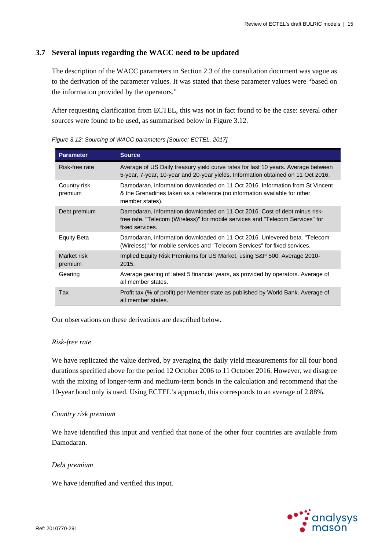## **3.7 Several inputs regarding the WACC need to be updated**

The description of the WACC parameters in Section 2.3 of the consultation document was vague as to the derivation of the parameter values. It was stated that these parameter values were "based on the information provided by the operators."

After requesting clarification from ECTEL, this was not in fact found to be the case: several other sources were found to be used, as summarised below in [Figure 3.12.](#page-17-0)

| <b>Parameter</b>        | <b>Source</b>                                                                                                                                                                   |
|-------------------------|---------------------------------------------------------------------------------------------------------------------------------------------------------------------------------|
| Risk-free rate          | Average of US Daily treasury yield curve rates for last 10 years. Average between<br>5-year, 7-year, 10-year and 20-year yields. Information obtained on 11 Oct 2016.           |
| Country risk<br>premium | Damodaran, information downloaded on 11 Oct 2016. Information from St Vincent<br>& the Grenadines taken as a reference (no information available for other<br>member states).   |
| Debt premium            | Damodaran, information downloaded on 11 Oct 2016. Cost of debt minus risk-<br>free rate. "Telecom (Wireless)" for mobile services and "Telecom Services" for<br>fixed services. |
| Equity Beta             | Damodaran, information downloaded on 11 Oct 2016. Unlevered beta. "Telecom<br>(Wireless)" for mobile services and "Telecom Services" for fixed services.                        |
| Market risk<br>premium  | Implied Equity Risk Premiums for US Market, using S&P 500. Average 2010-<br>2015.                                                                                               |
| Gearing                 | Average gearing of latest 5 financial years, as provided by operators. Average of<br>all member states.                                                                         |
| Tax                     | Profit tax (% of profit) per Member state as published by World Bank. Average of<br>all member states.                                                                          |

<span id="page-17-0"></span>*Figure 3.12: Sourcing of WACC parameters [Source: ECTEL, 2017]*

Our observations on these derivations are described below.

## *Risk-free rate*

We have replicated the value derived, by averaging the daily yield measurements for all four bond durations specified above for the period 12 October 2006 to 11 October 2016. However, we disagree with the mixing of longer-term and medium-term bonds in the calculation and recommend that the 10-year bond only is used. Using ECTEL's approach, this corresponds to an average of 2.88%.

## *Country risk premium*

We have identified this input and verified that none of the other four countries are available from Damodaran.

## *Debt premium*

We have identified and verified this input.

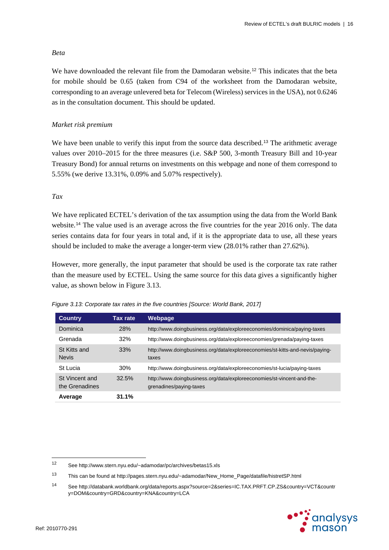## *Beta*

We have downloaded the relevant file from the Damodaran website.<sup>[12](#page-18-1)</sup> This indicates that the beta for mobile should be 0.65 (taken from C94 of the worksheet from the Damodaran website, corresponding to an average unlevered beta for Telecom (Wireless) services in the USA), not 0.6246 as in the consultation document. This should be updated.

## *Market risk premium*

We have been unable to verify this input from the source data described.<sup>[13](#page-18-2)</sup> The arithmetic average values over 2010–2015 for the three measures (i.e. S&P 500, 3-month Treasury Bill and 10-year Treasury Bond) for annual returns on investments on this webpage and none of them correspond to 5.55% (we derive 13.31%, 0.09% and 5.07% respectively).

## *Tax*

We have replicated ECTEL's derivation of the tax assumption using the data from the World Bank website.<sup>[14](#page-18-3)</sup> The value used is an average across the five countries for the year 2016 only. The data series contains data for four years in total and, if it is the appropriate data to use, all these years should be included to make the average a longer-term view (28.01% rather than 27.62%).

However, more generally, the input parameter that should be used is the corporate tax rate rather than the measure used by ECTEL. Using the same source for this data gives a significantly higher value, as shown below in [Figure 3.13.](#page-18-0)

| <b>Country</b>                   | Tax rate   | Webpage                                                                                           |
|----------------------------------|------------|---------------------------------------------------------------------------------------------------|
| Dominica                         | <b>28%</b> | http://www.doingbusiness.org/data/exploreeconomies/dominica/paying-taxes                          |
| Grenada                          | 32%        | http://www.doingbusiness.org/data/exploreeconomies/grenada/paying-taxes                           |
| St Kitts and<br><b>Nevis</b>     | 33%        | http://www.doingbusiness.org/data/exploreeconomies/st-kitts-and-nevis/paying-<br>taxes            |
| St Lucia                         | 30%        | http://www.doingbusiness.org/data/exploreeconomies/st-lucia/paying-taxes                          |
| St Vincent and<br>the Grenadines | 32.5%      | http://www.doingbusiness.org/data/exploreeconomies/st-vincent-and-the-<br>grenadines/paying-taxes |
| Average                          | 31.1%      |                                                                                                   |

<span id="page-18-0"></span>*Figure 3.13: Corporate tax rates in the five countries [Source: World Bank, 2017]*

<span id="page-18-3"></span><sup>14</sup> See http://databank.worldbank.org/data/reports.aspx?source=2&series=IC.TAX.PRFT.CP.ZS&country=VCT&countr y=DOM&country=GRD&country=KNA&country=LCA



<span id="page-18-1"></span> $12$ See http://www.stern.nyu.edu/~adamodar/pc/archives/betas15.xls

<span id="page-18-2"></span><sup>13</sup> This can be found at http://pages.stern.nyu.edu/~adamodar/New\_Home\_Page/datafile/histretSP.html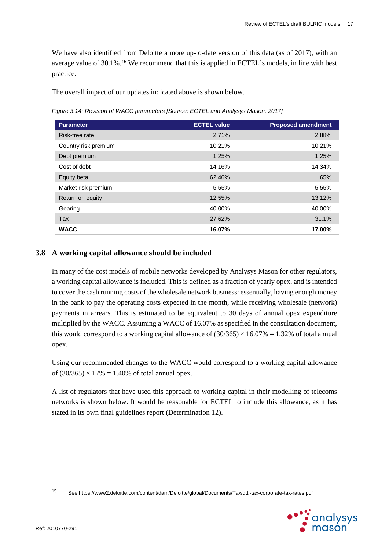We have also identified from Deloitte a more up-to-date version of this data (as of 2017), with an average value of 30.1%.[15](#page-19-0) We recommend that this is applied in ECTEL's models, in line with best practice.

The overall impact of our updates indicated above is shown below.

*Figure 3.14: Revision of WACC parameters [Source: ECTEL and Analysys Mason, 2017]*

| <b>Parameter</b>     | <b>ECTEL value</b> | <b>Proposed amendment</b> |
|----------------------|--------------------|---------------------------|
| Risk-free rate       | 2.71%              | 2.88%                     |
| Country risk premium | 10.21%             | 10.21%                    |
| Debt premium         | 1.25%              | 1.25%                     |
| Cost of debt         | 14.16%             | 14.34%                    |
| Equity beta          | 62.46%             | 65%                       |
| Market risk premium  | 5.55%              | 5.55%                     |
| Return on equity     | 12.55%             | 13.12%                    |
| Gearing              | 40.00%             | 40.00%                    |
| <b>Tax</b>           | 27.62%             | 31.1%                     |
| <b>WACC</b>          | 16.07%             | 17.00%                    |

## **3.8 A working capital allowance should be included**

In many of the cost models of mobile networks developed by Analysys Mason for other regulators, a working capital allowance is included. This is defined as a fraction of yearly opex, and is intended to cover the cash running costs of the wholesale network business: essentially, having enough money in the bank to pay the operating costs expected in the month, while receiving wholesale (network) payments in arrears. This is estimated to be equivalent to 30 days of annual opex expenditure multiplied by the WACC. Assuming a WACC of 16.07% as specified in the consultation document, this would correspond to a working capital allowance of  $(30/365) \times 16.07\% = 1.32\%$  of total annual opex.

Using our recommended changes to the WACC would correspond to a working capital allowance of  $(30/365) \times 17\% = 1.40\%$  of total annual opex.

A list of regulators that have used this approach to working capital in their modelling of telecoms networks is shown below. It would be reasonable for ECTEL to include this allowance, as it has stated in its own final guidelines report (Determination 12).

<span id="page-19-0"></span><sup>15</sup> <sup>15</sup> See https://www2.deloitte.com/content/dam/Deloitte/global/Documents/Tax/dttl-tax-corporate-tax-rates.pdf

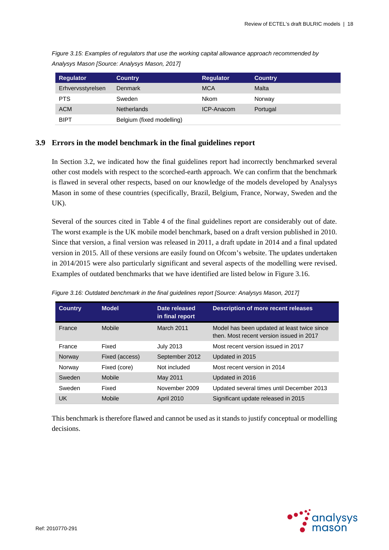| <b>Regulator</b>  | <b>Country</b>            | <b>Regulator</b>  | <b>Country</b> |
|-------------------|---------------------------|-------------------|----------------|
| Erhvervsstyrelsen | <b>Denmark</b>            | <b>MCA</b>        | Malta          |
| <b>PTS</b>        | Sweden                    | Nkom              | Norway         |
| <b>ACM</b>        | <b>Netherlands</b>        | <b>ICP-Anacom</b> | Portugal       |
| <b>BIPT</b>       | Belgium (fixed modelling) |                   |                |

*Figure 3.15: Examples of regulators that use the working capital allowance approach recommended by Analysys Mason [Source: Analysys Mason, 2017]*

## **3.9 Errors in the model benchmark in the final guidelines report**

In Section [3.2,](#page-7-0) we indicated how the final guidelines report had incorrectly benchmarked several other cost models with respect to the scorched-earth approach. We can confirm that the benchmark is flawed in several other respects, based on our knowledge of the models developed by Analysys Mason in some of these countries (specifically, Brazil, Belgium, France, Norway, Sweden and the UK).

Several of the sources cited in Table 4 of the final guidelines report are considerably out of date. The worst example is the UK mobile model benchmark, based on a draft version published in 2010. Since that version, a final version was released in 2011, a draft update in 2014 and a final updated version in 2015. All of these versions are easily found on Ofcom's website. The updates undertaken in 2014/2015 were also particularly significant and several aspects of the modelling were revised. Examples of outdated benchmarks that we have identified are listed below in [Figure 3.16.](#page-20-0)

| <b>Country</b> | <b>Model</b>   | Date released<br>in final report | <b>Description of more recent releases</b>                                              |
|----------------|----------------|----------------------------------|-----------------------------------------------------------------------------------------|
| France         | <b>Mobile</b>  | <b>March 2011</b>                | Model has been updated at least twice since<br>then. Most recent version issued in 2017 |
| France         | Fixed          | <b>July 2013</b>                 | Most recent version issued in 2017                                                      |
| Norway         | Fixed (access) | September 2012                   | Updated in 2015                                                                         |
| Norway         | Fixed (core)   | Not included                     | Most recent version in 2014                                                             |
| Sweden         | Mobile         | May 2011                         | Updated in 2016                                                                         |
| Sweden         | Fixed          | November 2009                    | Updated several times until December 2013                                               |
| UK             | <b>Mobile</b>  | <b>April 2010</b>                | Significant update released in 2015                                                     |

<span id="page-20-0"></span>*Figure 3.16: Outdated benchmark in the final guidelines report [Source: Analysys Mason, 2017]*

This benchmark is therefore flawed and cannot be used as it stands to justify conceptual or modelling decisions.

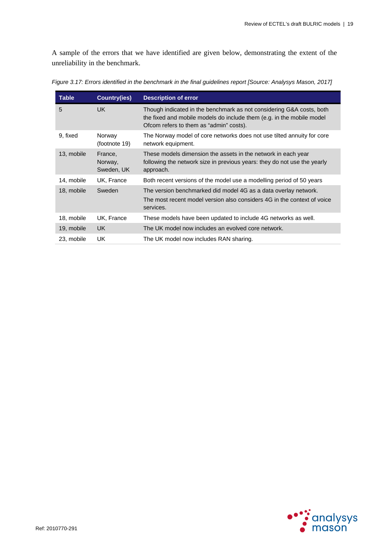A sample of the errors that we have identified are given below, demonstrating the extent of the unreliability in the benchmark.

| <b>Table</b> | <b>Country(ies)</b>              | <b>Description of error</b>                                                                                                                                                              |
|--------------|----------------------------------|------------------------------------------------------------------------------------------------------------------------------------------------------------------------------------------|
| 5            | <b>UK</b>                        | Though indicated in the benchmark as not considering G&A costs, both<br>the fixed and mobile models do include them (e.g. in the mobile model<br>Ofcom refers to them as "admin" costs). |
| 9, fixed     | Norway<br>(footnote 19)          | The Norway model of core networks does not use tilted annuity for core<br>network equipment.                                                                                             |
| 13, mobile   | France,<br>Norway,<br>Sweden, UK | These models dimension the assets in the network in each year<br>following the network size in previous years: they do not use the yearly<br>approach.                                   |
| 14, mobile   | UK, France                       | Both recent versions of the model use a modelling period of 50 years                                                                                                                     |
| 18, mobile   | Sweden                           | The version benchmarked did model 4G as a data overlay network.<br>The most recent model version also considers 4G in the context of voice<br>services.                                  |
| 18, mobile   | UK, France                       | These models have been updated to include 4G networks as well.                                                                                                                           |
| 19, mobile   | UK.                              | The UK model now includes an evolved core network.                                                                                                                                       |
| 23, mobile   | UK.                              | The UK model now includes RAN sharing.                                                                                                                                                   |

*Figure 3.17: Errors identified in the benchmark in the final guidelines report [Source: Analysys Mason, 2017]*

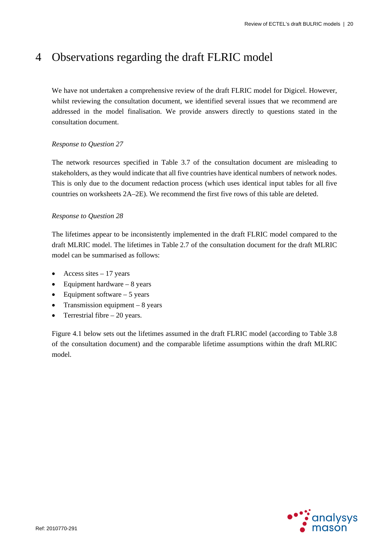# 4 Observations regarding the draft FLRIC model

We have not undertaken a comprehensive review of the draft FLRIC model for Digicel. However, whilst reviewing the consultation document, we identified several issues that we recommend are addressed in the model finalisation. We provide answers directly to questions stated in the consultation document.

## *Response to Question 27*

The network resources specified in Table 3.7 of the consultation document are misleading to stakeholders, as they would indicate that all five countries have identical numbers of network nodes. This is only due to the document redaction process (which uses identical input tables for all five countries on worksheets 2A–2E). We recommend the first five rows of this table are deleted.

## *Response to Question 28*

The lifetimes appear to be inconsistently implemented in the draft FLRIC model compared to the draft MLRIC model. The lifetimes in Table 2.7 of the consultation document for the draft MLRIC model can be summarised as follows:

- Access sites  $-17$  years
- Equipment hardware  $-8$  years
- Equipment software  $-5$  years
- Transmission equipment  $-8$  years
- Terrestrial fibre  $-20$  years.

[Figure 4.1](#page-23-0) below sets out the lifetimes assumed in the draft FLRIC model (according to Table 3.8 of the consultation document) and the comparable lifetime assumptions within the draft MLRIC model.

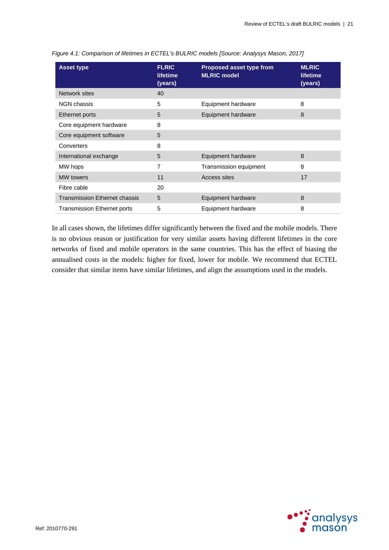| <b>Asset type</b>                    | <b>FLRIC</b><br><b>lifetime</b><br>(years) | Proposed asset type from<br><b>MLRIC model</b> | <b>MLRIC</b><br>lifetime<br>(years) |
|--------------------------------------|--------------------------------------------|------------------------------------------------|-------------------------------------|
| Network sites                        | 40                                         |                                                |                                     |
| NGN chassis                          | 5                                          | Equipment hardware                             | 8                                   |
| Ethernet ports                       | 5                                          | Equipment hardware                             | 8                                   |
| Core equipment hardware              | 8                                          |                                                |                                     |
| Core equipment software              | 5                                          |                                                |                                     |
| Converters                           | 8                                          |                                                |                                     |
| International exchange               | 5                                          | Equipment hardware                             | 8                                   |
| MW hops                              | 7                                          | Transmission equipment                         | 8                                   |
| <b>MW</b> towers                     | 11                                         | Access sites                                   | 17                                  |
| Fibre cable                          | 20                                         |                                                |                                     |
| <b>Transmission Ethernet chassis</b> | 5                                          | Equipment hardware                             | 8                                   |
| <b>Transmission Ethernet ports</b>   | 5                                          | Equipment hardware                             | 8                                   |

<span id="page-23-0"></span>*Figure 4.1: Comparison of lifetimes in ECTEL's BULRIC models [Source: Analysys Mason, 2017]*

In all cases shown, the lifetimes differ significantly between the fixed and the mobile models. There is no obvious reason or justification for very similar assets having different lifetimes in the core networks of fixed and mobile operators in the same countries. This has the effect of biasing the annualised costs in the models: higher for fixed, lower for mobile. We recommend that ECTEL consider that similar items have similar lifetimes, and align the assumptions used in the models.

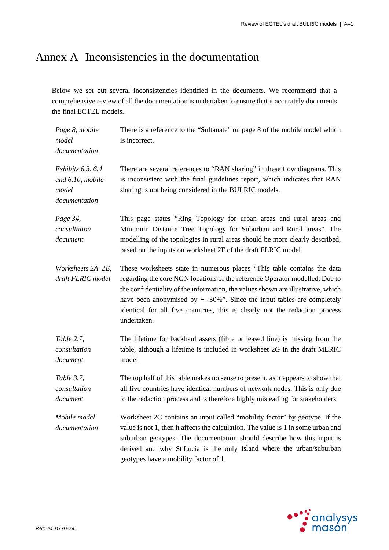# Annex A Inconsistencies in the documentation

Below we set out several inconsistencies identified in the documents. We recommend that a comprehensive review of all the documentation is undertaken to ensure that it accurately documents the final ECTEL models.

| Page 8, mobile<br>model<br>documentation                          | There is a reference to the "Sultanate" on page 8 of the mobile model which<br>is incorrect.                                                                                                                                                                                                                                                                                                                         |
|-------------------------------------------------------------------|----------------------------------------------------------------------------------------------------------------------------------------------------------------------------------------------------------------------------------------------------------------------------------------------------------------------------------------------------------------------------------------------------------------------|
| Exhibits $6.3, 6.4$<br>and 6.10, mobile<br>model<br>documentation | There are several references to "RAN sharing" in these flow diagrams. This<br>is inconsistent with the final guidelines report, which indicates that RAN<br>sharing is not being considered in the BULRIC models.                                                                                                                                                                                                    |
| Page 34,<br>consultation<br>document                              | This page states "Ring Topology for urban areas and rural areas and<br>Minimum Distance Tree Topology for Suburban and Rural areas". The<br>modelling of the topologies in rural areas should be more clearly described,<br>based on the inputs on worksheet 2F of the draft FLRIC model.                                                                                                                            |
| Worksheets 2A-2E,<br>draft FLRIC model                            | These worksheets state in numerous places "This table contains the data<br>regarding the core NGN locations of the reference Operator modelled. Due to<br>the confidentiality of the information, the values shown are illustrative, which<br>have been anonymised by $+$ -30%". Since the input tables are completely<br>identical for all five countries, this is clearly not the redaction process<br>undertaken. |
| Table 2.7,<br>consultation<br>document                            | The lifetime for backhaul assets (fibre or leased line) is missing from the<br>table, although a lifetime is included in worksheet 2G in the draft MLRIC<br>model.                                                                                                                                                                                                                                                   |
| Table 3.7,<br>consultation<br>document                            | The top half of this table makes no sense to present, as it appears to show that<br>all five countries have identical numbers of network nodes. This is only due<br>to the redaction process and is therefore highly misleading for stakeholders.                                                                                                                                                                    |
| Mobile model<br>documentation                                     | Worksheet 2C contains an input called "mobility factor" by geotype. If the<br>value is not 1, then it affects the calculation. The value is 1 in some urban and<br>suburban geotypes. The documentation should describe how this input is<br>derived and why St Lucia is the only island where the urban/suburban<br>geotypes have a mobility factor of 1.                                                           |

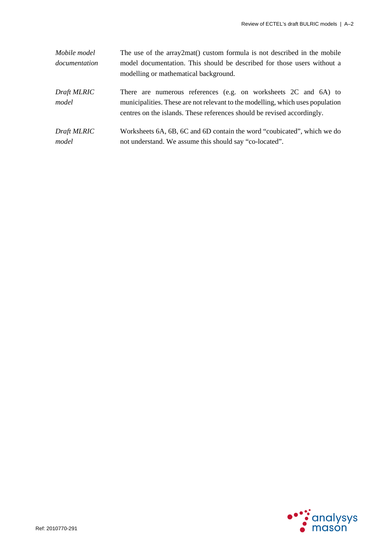| Mobile model  | The use of the array2mat() custom formula is not described in the mobile       |
|---------------|--------------------------------------------------------------------------------|
| documentation | model documentation. This should be described for those users without a        |
|               | modelling or mathematical background.                                          |
| Draft MLRIC   | There are numerous references (e.g. on worksheets 2C and 6A) to                |
| model         | municipalities. These are not relevant to the modelling, which uses population |
|               | centres on the islands. These references should be revised accordingly.        |
| Draft MLRIC   | Worksheets 6A, 6B, 6C and 6D contain the word "coubicated", which we do        |
| model         | not understand. We assume this should say "co-located".                        |